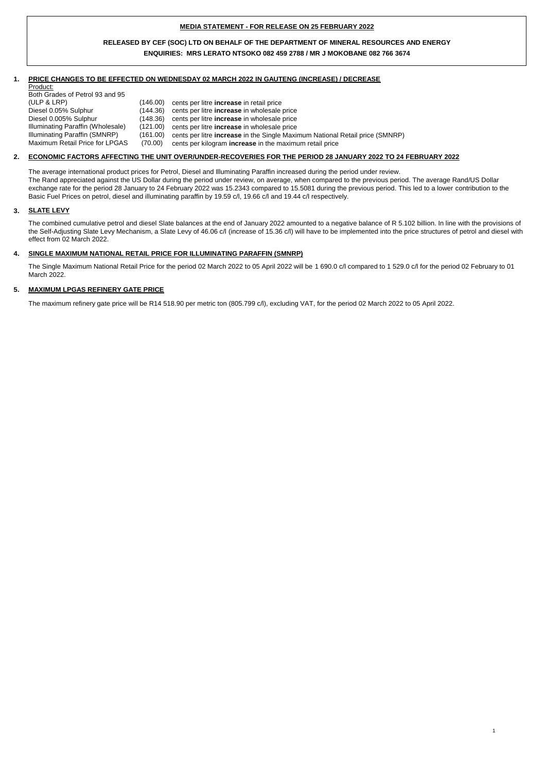## **MEDIA STATEMENT - FOR RELEASE ON 25 FEBRUARY 2022**

# **RELEASED BY CEF (SOC) LTD ON BEHALF OF THE DEPARTMENT OF MINERAL RESOURCES AND ENERGY ENQUIRIES: MRS LERATO NTSOKO 082 459 2788 / MR J MOKOBANE 082 766 3674**

#### **1. PRICE CHANGES TO BE EFFECTED ON WEDNESDAY 02 MARCH 2022 IN GAUTENG (INCREASE) / DECREASE**

Product:

| Both Grades of Petrol 93 and 95   |          |                                                                                     |
|-----------------------------------|----------|-------------------------------------------------------------------------------------|
| (ULP & LRP)                       | (146.00) | cents per litre <b>increase</b> in retail price                                     |
| Diesel 0.05% Sulphur              | (144.36) | cents per litre <b>increase</b> in wholesale price                                  |
| Diesel 0.005% Sulphur             | (148.36) | cents per litre <b>increase</b> in wholesale price                                  |
| Illuminating Paraffin (Wholesale) |          | (121.00) cents per litre <b>increase</b> in wholesale price                         |
| Illuminating Paraffin (SMNRP)     | (161.00) | cents per litre <b>increase</b> in the Single Maximum National Retail price (SMNRP) |
| Maximum Retail Price for LPGAS    | (70.00)  | cents per kilogram <b>increase</b> in the maximum retail price                      |

#### **2. ECONOMIC FACTORS AFFECTING THE UNIT OVER/UNDER-RECOVERIES FOR THE PERIOD 28 JANUARY 2022 TO 24 FEBRUARY 2022**

The average international product prices for Petrol, Diesel and Illuminating Paraffin increased during the period under review. The Rand appreciated against the US Dollar during the period under review, on average, when compared to the previous period. The average Rand/US Dollar exchange rate for the period 28 January to 24 February 2022 was 15.2343 compared to 15.5081 during the previous period. This led to a lower contribution to the Basic Fuel Prices on petrol, diesel and illuminating paraffin by 19.59 c/l, 19.66 c/l and 19.44 c/l respectively.

#### **3. SLATE LEVY**

The combined cumulative petrol and diesel Slate balances at the end of January 2022 amounted to a negative balance of R 5.102 billion. In line with the provisions of the Self-Adjusting Slate Levy Mechanism, a Slate Levy of 46.06 c/l (increase of 15.36 c/l) will have to be implemented into the price structures of petrol and diesel with effect from 02 March 2022.

1

#### **4. SINGLE MAXIMUM NATIONAL RETAIL PRICE FOR ILLUMINATING PARAFFIN (SMNRP)**

The Single Maximum National Retail Price for the period 02 March 2022 to 05 April 2022 will be 1 690.0 c/l compared to 1 529.0 c/l for the period 02 February to 01 March 2022.

#### **5. MAXIMUM LPGAS REFINERY GATE PRICE**

The maximum refinery gate price will be R14 518.90 per metric ton (805.799 c/l), excluding VAT, for the period 02 March 2022 to 05 April 2022.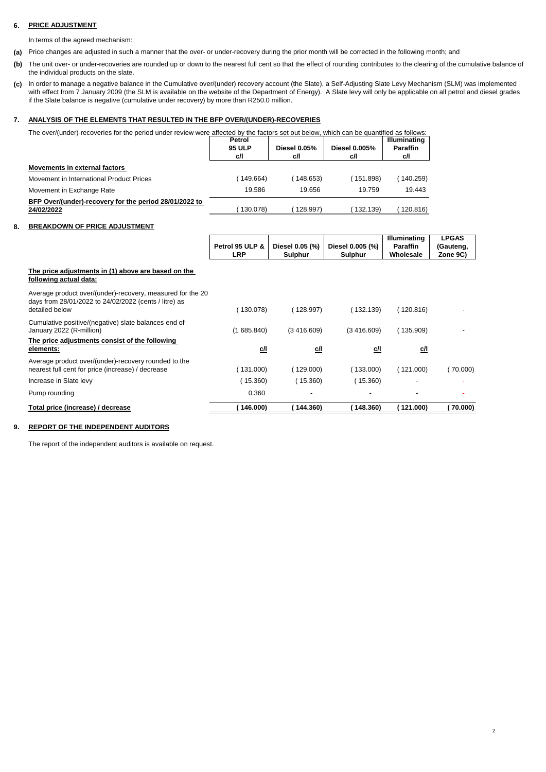# **6. PRICE ADJUSTMENT**

In terms of the agreed mechanism:

- **(a)** Price changes are adjusted in such a manner that the over- or under-recovery during the prior month will be corrected in the following month; and
- **(b)** The unit over- or under-recoveries are rounded up or down to the nearest full cent so that the effect of rounding contributes to the clearing of the cumulative balance of the individual products on the slate.
- **(c)** In order to manage a negative balance in the Cumulative over/(under) recovery account (the Slate), a Self-Adjusting Slate Levy Mechanism (SLM) was implemented with effect from 7 January 2009 (the SLM is available on the website of the Department of Energy). A Slate levy will only be applicable on all petrol and diesel grades if the Slate balance is negative (cumulative under recovery) by more than R250.0 million.

### **7. ANALYSIS OF THE ELEMENTS THAT RESULTED IN THE BFP OVER/(UNDER)-RECOVERIES**

| The over/(under)-recoveries for the period under review were affected by the factors set out below, which can be quantified as follows: |        |  |                     |
|-----------------------------------------------------------------------------------------------------------------------------------------|--------|--|---------------------|
|                                                                                                                                         | Datral |  | <b>Illuminating</b> |

|                                                                      | reuvi<br><b>95 ULP</b><br>cЛ | <b>Diesel 0.05%</b><br>c/l | Diesel 0.005%<br>c/l | <b>IIIUIIIIIIIIIIIIII</b><br><b>Paraffin</b><br>c/l |
|----------------------------------------------------------------------|------------------------------|----------------------------|----------------------|-----------------------------------------------------|
| Movements in external factors                                        |                              |                            |                      |                                                     |
| Movement in International Product Prices                             | 149.664                      | 148.653)                   | (151.898)            | 140.259)                                            |
| Movement in Exchange Rate                                            | 19.586                       | 19.656                     | 19.759               | 19.443                                              |
| BFP Over/(under)-recovery for the period 28/01/2022 to<br>24/02/2022 | 130.078)                     | 128.997)                   | 132.139)             | 120.816)                                            |

# **8. BREAKDOWN OF PRICE ADJUSTMENT**

|                                                                                                                                       | Petrol 95 ULP & | Diesel 0.05 (%)          | Diesel 0.005 (%) | Illuminating<br><b>Paraffin</b> | <b>LPGAS</b><br>(Gauteng, |
|---------------------------------------------------------------------------------------------------------------------------------------|-----------------|--------------------------|------------------|---------------------------------|---------------------------|
|                                                                                                                                       | <b>LRP</b>      | Sulphur                  | Sulphur          | Wholesale                       | Zone 9C)                  |
| The price adjustments in (1) above are based on the<br>following actual data:                                                         |                 |                          |                  |                                 |                           |
| Average product over/(under)-recovery, measured for the 20<br>days from 28/01/2022 to 24/02/2022 (cents / litre) as<br>detailed below | (130.078)       | (128.997)                | (132.139)        | (120.816)                       |                           |
| Cumulative positive/(negative) slate balances end of<br>January 2022 (R-million)                                                      | (1685.840)      | (3,416.609)              | (3,416.609)      | (135.909)                       |                           |
| The price adjustments consist of the following<br>elements:                                                                           | <u>c/l</u>      | c/l                      | <u>c/l</u>       | c/l                             |                           |
| Average product over/(under)-recovery rounded to the<br>nearest full cent for price (increase) / decrease                             | (131.000)       | (129.000)                | (133.000)        | (121.000)                       | (70.000)                  |
| Increase in Slate levy                                                                                                                | (15.360)        | (15.360)                 | (15.360)         |                                 |                           |
| Pump rounding                                                                                                                         | 0.360           | $\overline{\phantom{a}}$ |                  |                                 |                           |
| Total price (increase) / decrease                                                                                                     | 146.000)        | 144.360)                 | 148.360)         | 121.000)                        | 70.000)                   |

### **9. REPORT OF THE INDEPENDENT AUDITORS**

The report of the independent auditors is available on request.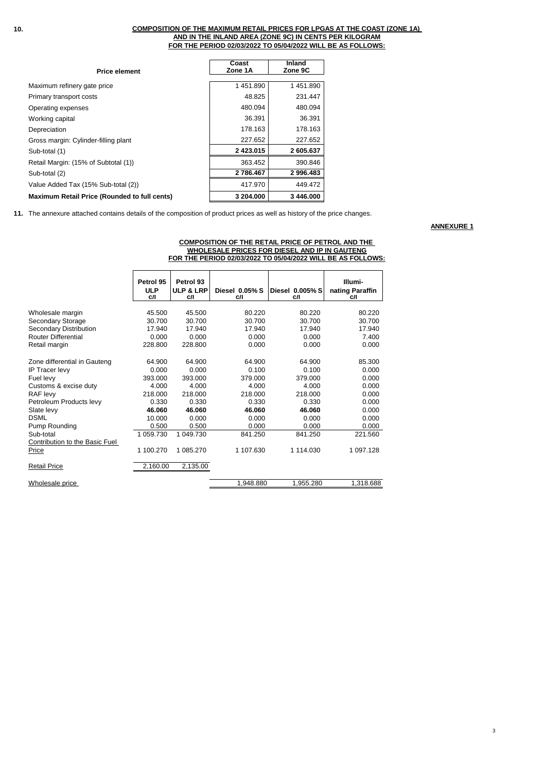### **FOR THE PERIOD 02/03/2022 TO 05/04/2022 WILL BE AS FOLLOWS: COMPOSITION OF THE MAXIMUM RETAIL PRICES FOR LPGAS AT THE COAST (ZONE 1A) AND IN THE INLAND AREA (ZONE 9C) IN CENTS PER KILOGRAM**

| <b>Price element</b>                                | Coast<br>Zone 1A | Inland<br>Zone 9C |
|-----------------------------------------------------|------------------|-------------------|
|                                                     |                  |                   |
| Maximum refinery gate price                         | 1451.890         | 1451.890          |
| Primary transport costs                             | 48.825           | 231.447           |
| Operating expenses                                  | 480.094          | 480.094           |
| Working capital                                     | 36.391           | 36.391            |
| Depreciation                                        | 178.163          | 178.163           |
| Gross margin: Cylinder-filling plant                | 227.652          | 227.652           |
| Sub-total (1)                                       | 2 4 2 3 . 0 1 5  | 2605.637          |
| Retail Margin: (15% of Subtotal (1))                | 363.452          | 390.846           |
| Sub-total (2)                                       | 2 786.467        | 2996.483          |
| Value Added Tax (15% Sub-total (2))                 | 417.970          | 449.472           |
| <b>Maximum Retail Price (Rounded to full cents)</b> | 3 204,000        | 3 446,000         |

**11.** The annexure attached contains details of the composition of product prices as well as history of the price changes.

**ANNEXURE 1**

|                                |                         |                                   |                |                 | FOR THE PERIOD 02/03/2022 TO 05/04/2022 WILL BE AS FOLLOWS: |
|--------------------------------|-------------------------|-----------------------------------|----------------|-----------------|-------------------------------------------------------------|
|                                |                         |                                   |                |                 |                                                             |
|                                | Petrol 95<br><b>ULP</b> | Petrol 93<br><b>ULP &amp; LRP</b> | Diesel 0.05% S | Diesel 0.005% S | Illumi-<br>nating Paraffin                                  |
|                                | C/I                     | C/I                               | C/I            | C/I             | C/I                                                         |
| Wholesale margin               | 45.500                  | 45.500                            | 80.220         | 80.220          | 80.220                                                      |
| Secondary Storage              | 30.700                  | 30.700                            | 30.700         | 30.700          | 30.700                                                      |
| Secondary Distribution         | 17.940                  | 17.940                            | 17.940         | 17.940          | 17.940                                                      |
| <b>Router Differential</b>     | 0.000                   | 0.000                             | 0.000          | 0.000           | 7.400                                                       |
| Retail margin                  | 228.800                 | 228.800                           | 0.000          | 0.000           | 0.000                                                       |
| Zone differential in Gauteng   | 64.900                  | 64.900                            | 64.900         | 64.900          | 85.300                                                      |
| <b>IP Tracer levy</b>          | 0.000                   | 0.000                             | 0.100          | 0.100           | 0.000                                                       |
| Fuel levy                      | 393.000                 | 393.000                           | 379.000        | 379.000         | 0.000                                                       |
| Customs & excise duty          | 4.000                   | 4.000                             | 4.000          | 4.000           | 0.000                                                       |
| RAF levy                       | 218.000                 | 218.000                           | 218.000        | 218.000         | 0.000                                                       |
| Petroleum Products levy        | 0.330                   | 0.330                             | 0.330          | 0.330           | 0.000                                                       |
| Slate levy                     | 46.060                  | 46.060                            | 46.060         | 46.060          | 0.000                                                       |
| <b>DSML</b>                    | 10.000                  | 0.000                             | 0.000          | 0.000           | 0.000                                                       |
| Pump Rounding                  | 0.500                   | 0.500                             | 0.000          | 0.000           | 0.000                                                       |
| Sub-total                      | 1 059.730               | 1 049.730                         | 841.250        | 841.250         | 221.560                                                     |
| Contribution to the Basic Fuel |                         |                                   |                |                 |                                                             |
| Price                          | 1 100.270               | 1 085.270                         | 1 107.630      | 1 114.030       | 1 097.128                                                   |
| <b>Retail Price</b>            | 2,160.00                | 2,135.00                          |                |                 |                                                             |
| Wholesale price                |                         |                                   | 1.948.880      | 1,955.280       | 1,318.688                                                   |

# **COMPOSITION OF THE RETAIL PRICE OF PETROL AND THE WHOLESALE PRICES FOR DIESEL AND IP IN GAUTENG**